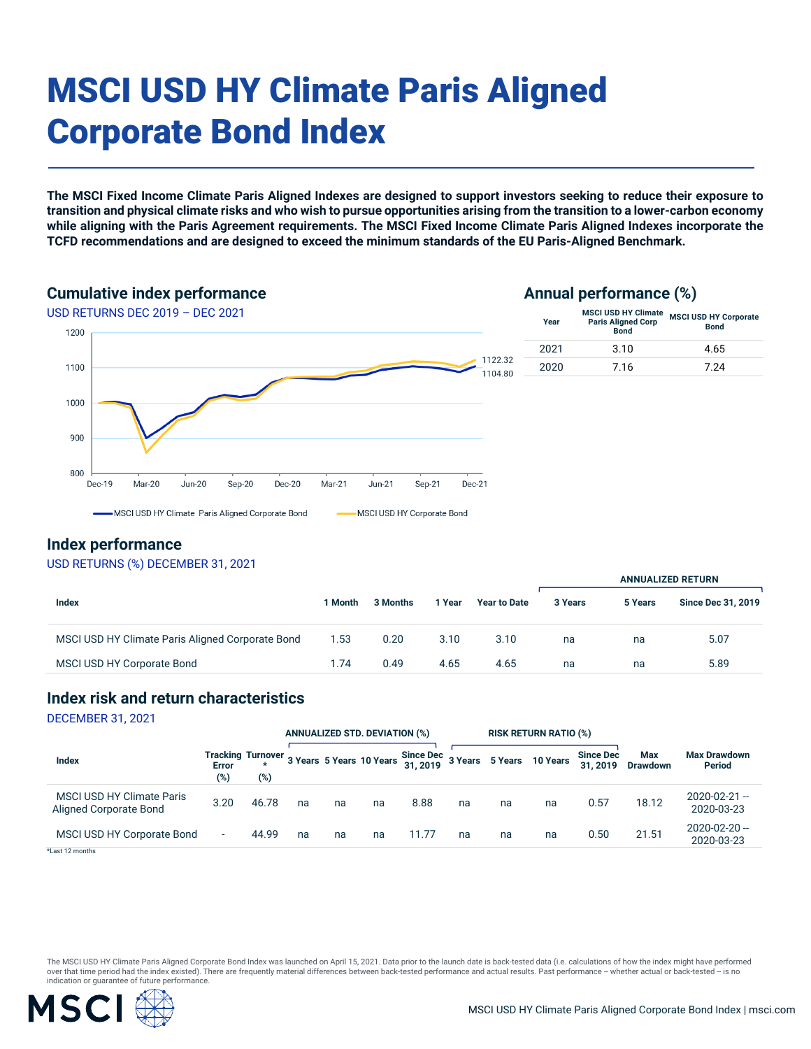# MSCI USD HY Climate Paris Aligned Corporate Bond Index

**The MSCI Fixed Income Climate Paris Aligned Indexes are designed to support investors seeking to reduce their exposure to transition and physical climate risks and who wish to pursue opportunities arising from the transition to a lower-carbon economy while aligning with the Paris Agreement requirements. The MSCI Fixed Income Climate Paris Aligned Indexes incorporate the TCFD recommendations and are designed to exceed the minimum standards of the EU Paris-Aligned Benchmark.**

#### **Cumulative index performance**

#### **Annual performance (%)**



#### **Index performance**

#### USD RETURNS (%) DECEMBER 31, 2021

|                                                  |         |          |        | <b>ANNUALIZED RETURN</b> |         |         |                           |
|--------------------------------------------------|---------|----------|--------|--------------------------|---------|---------|---------------------------|
| Index                                            | 1 Month | 3 Months | 1 Year | <b>Year to Date</b>      | 3 Years | 5 Years | <b>Since Dec 31, 2019</b> |
| MSCI USD HY Climate Paris Aligned Corporate Bond | 1.53    | 0.20     | 3.10   | 3.10                     | na      | na      | 5.07                      |
| MSCI USD HY Corporate Bond                       | 1.74    | 0.49     | 4.65   | 4.65                     | na      | na      | 5.89                      |

#### **Index risk and return characteristics**

DECEMBER 31, 2021

|                                                            |              |       | <b>ANNUALIZED STD. DEVIATION (%)</b> |    | <b>RISK RETURN RATIO (%)</b> |                                                                               |    |    |    |                             |                               |                                      |
|------------------------------------------------------------|--------------|-------|--------------------------------------|----|------------------------------|-------------------------------------------------------------------------------|----|----|----|-----------------------------|-------------------------------|--------------------------------------|
| <b>Index</b>                                               | Error<br>(%) | (%)   |                                      |    |                              | Tracking Turnover 3 Years 5 Years 10 Years Since Dec 3 Years 5 Years 10 Years |    |    |    | <b>Since Dec</b><br>31.2019 | <b>Max</b><br><b>Drawdown</b> | <b>Max Drawdown</b><br><b>Period</b> |
| <b>MSCI USD HY Climate Paris</b><br>Aligned Corporate Bond | 3.20         | 46.78 | na                                   | na | na                           | 8.88                                                                          | na | na | na | 0.57                        | 18.12                         | $2020 - 02 - 21 -$<br>2020-03-23     |
| MSCI USD HY Corporate Bond                                 | $\sim$       | 44.99 | na                                   | na | na                           | 11.77                                                                         | na | na | na | 0.50                        | 21.51                         | $2020 - 02 - 20 -$<br>2020-03-23     |
| *Last 12 months                                            |              |       |                                      |    |                              |                                                                               |    |    |    |                             |                               |                                      |

The MSCI USD HY Climate Paris Aligned Corporate Bond Index was launched on April 15, 2021. Data prior to the launch date is back-tested data (i.e. calculations of how the index might have performed over that time period had the index existed). There are frequently material differences between back-tested performance and actual results. Past performance -- whether actual or back-tested -- is no indication or guarantee of future performance.

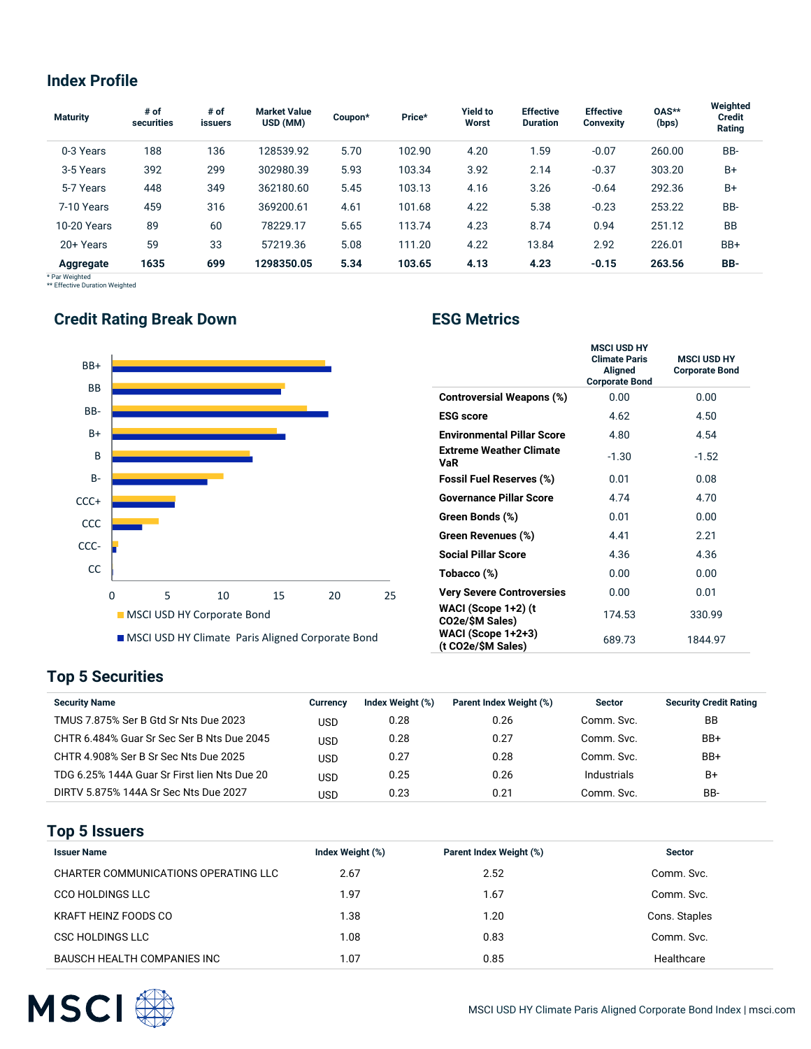### **Index Profile**

| <b>Maturity</b> | # of<br>securities | # of<br><b>issuers</b> | <b>Market Value</b><br>USD (MM) | Coupon* | Price* | <b>Yield to</b><br>Worst | <b>Effective</b><br><b>Duration</b> | <b>Effective</b><br><b>Convexity</b> | 0AS**<br>(bps) | Weighted<br><b>Credit</b><br>Rating |
|-----------------|--------------------|------------------------|---------------------------------|---------|--------|--------------------------|-------------------------------------|--------------------------------------|----------------|-------------------------------------|
| 0-3 Years       | 188                | 136                    | 128539.92                       | 5.70    | 102.90 | 4.20                     | 1.59                                | $-0.07$                              | 260.00         | BB-                                 |
| 3-5 Years       | 392                | 299                    | 302980.39                       | 5.93    | 103.34 | 3.92                     | 2.14                                | $-0.37$                              | 303.20         | B+                                  |
| 5-7 Years       | 448                | 349                    | 362180.60                       | 5.45    | 103.13 | 4.16                     | 3.26                                | $-0.64$                              | 292.36         | B+                                  |
| 7-10 Years      | 459                | 316                    | 369200.61                       | 4.61    | 101.68 | 4.22                     | 5.38                                | $-0.23$                              | 253.22         | BB-                                 |
| 10-20 Years     | 89                 | 60                     | 78229.17                        | 5.65    | 113.74 | 4.23                     | 8.74                                | 0.94                                 | 251.12         | <b>BB</b>                           |
| 20+ Years       | 59                 | 33                     | 57219.36                        | 5.08    | 111.20 | 4.22                     | 13.84                               | 2.92                                 | 226.01         | BB+                                 |
| Aggregate       | 1635               | 699                    | 1298350.05                      | 5.34    | 103.65 | 4.13                     | 4.23                                | $-0.15$                              | 263.56         | BB-                                 |

\* Par Weighted \*\* Effective Duration Weighted

# **Credit Rating Break Down Credit Rating Break Down Credit Rating Break Down Credit Rating School Credit Rating School**



|                                          | <b>MSCI USD HY</b><br><b>Climate Paris</b><br>Aligned<br><b>Corporate Bond</b> | <b>MSCI USD HY</b><br><b>Corporate Bond</b> |
|------------------------------------------|--------------------------------------------------------------------------------|---------------------------------------------|
| <b>Controversial Weapons (%)</b>         | 0.00                                                                           | 0.00                                        |
| <b>ESG</b> score                         | 4.62                                                                           | 4.50                                        |
| <b>Environmental Pillar Score</b>        | 4.80                                                                           | 4.54                                        |
| <b>Extreme Weather Climate</b><br>VaR    | $-1.30$                                                                        | $-1.52$                                     |
| <b>Fossil Fuel Reserves (%)</b>          | 0.01                                                                           | 0.08                                        |
| <b>Governance Pillar Score</b>           | 4.74                                                                           | 4.70                                        |
| Green Bonds (%)                          | 0.01                                                                           | 0.00                                        |
| Green Revenues (%)                       | 4.41                                                                           | 2.21                                        |
| <b>Social Pillar Score</b>               | 4.36                                                                           | 4.36                                        |
| Tobacco (%)                              | 0.00                                                                           | 0.00                                        |
| <b>Very Severe Controversies</b>         | 0.00                                                                           | 0.01                                        |
| WACI (Scope 1+2) (t<br>CO2e/\$M Sales)   | 174.53                                                                         | 330.99                                      |
| WACI (Scope 1+2+3)<br>(t CO2e/\$M Sales) | 689.73                                                                         | 1844.97                                     |

## **Top 5 Securities**

| <b>Security Name</b>                         | Currency | Index Weight (%) | Parent Index Weight (%) | <b>Sector</b> | <b>Security Credit Rating</b> |
|----------------------------------------------|----------|------------------|-------------------------|---------------|-------------------------------|
| TMUS 7.875% Ser B Gtd Sr Nts Due 2023        | USD      | 0.28             | 0.26                    | Comm. Svc.    | BB                            |
| CHTR 6.484% Guar Sr Sec Ser B Nts Due 2045   | USD      | 0.28             | 0.27                    | Comm. Svc.    | BB+                           |
| CHTR 4.908% Ser B Sr Sec Nts Due 2025        | USD      | 0.27             | 0.28                    | Comm. Svc.    | BB+                           |
| TDG 6.25% 144A Guar Sr First lien Nts Due 20 | USD      | 0.25             | 0.26                    | Industrials   | B+                            |
| DIRTV 5.875% 144A Sr Sec Nts Due 2027        | USD      | 0.23             | 0.21                    | Comm. Svc.    | BB-                           |

#### **Top 5 Issuers**

| <b>Issuer Name</b>                   | Index Weight (%) | Parent Index Weight (%) | <b>Sector</b> |
|--------------------------------------|------------------|-------------------------|---------------|
| CHARTER COMMUNICATIONS OPERATING LLC | 2.67             | 2.52                    | Comm. Svc.    |
| <b>CCO HOLDINGS LLC</b>              | 1.97             | 1.67                    | Comm. Svc.    |
| <b>KRAFT HEINZ FOODS CO</b>          | 1.38             | 1.20                    | Cons. Staples |
| CSC HOLDINGS LLC                     | 1.08             | 0.83                    | Comm. Svc.    |
| <b>BAUSCH HEALTH COMPANIES INC</b>   | 1.07             | 0.85                    | Healthcare    |